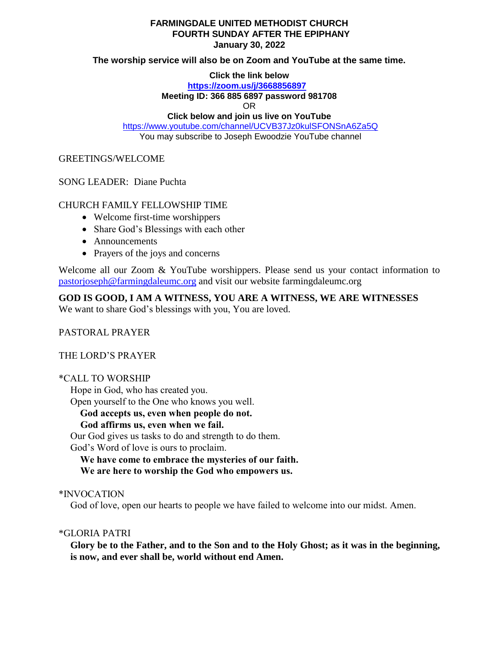### **FARMINGDALE UNITED METHODIST CHURCH FOURTH SUNDAY AFTER THE EPIPHANY January 30, 2022**

### **The worship service will also be on Zoom and YouTube at the same time.**

**Click the link below**

**<https://zoom.us/j/3668856897>**

**Meeting ID: 366 885 6897 password 981708**

OR

**Click below and join us live on YouTube** 

<https://www.youtube.com/channel/UCVB37Jz0kulSFONSnA6Za5Q> You may subscribe to Joseph Ewoodzie YouTube channel

GREETINGS/WELCOME

SONG LEADER: Diane Puchta

# CHURCH FAMILY FELLOWSHIP TIME

- Welcome first-time worshippers
- Share God's Blessings with each other
- Announcements
- Prayers of the joys and concerns

Welcome all our Zoom & YouTube worshippers. Please send us your contact information to [pastorjoseph@farmingdaleumc.org](mailto:pastorjoseph@farmingdaleumc.org) and visit our website farmingdaleumc.org

**GOD IS GOOD, I AM A WITNESS, YOU ARE A WITNESS, WE ARE WITNESSES**

We want to share God's blessings with you, You are loved.

PASTORAL PRAYER

THE LORD'S PRAYER

## \*CALL TO WORSHIP

Hope in God, who has created you.

Open yourself to the One who knows you well.

**God accepts us, even when people do not.**

 **God affirms us, even when we fail.**

Our God gives us tasks to do and strength to do them.

God's Word of love is ours to proclaim.

 **We have come to embrace the mysteries of our faith. We are here to worship the God who empowers us.**

\*INVOCATION

God of love, open our hearts to people we have failed to welcome into our midst. Amen.

\*GLORIA PATRI

**Glory be to the Father, and to the Son and to the Holy Ghost; as it was in the beginning, is now, and ever shall be, world without end Amen.**